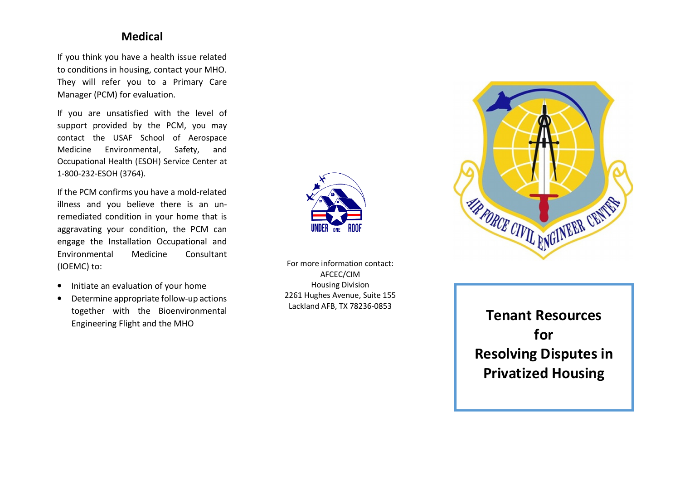#### **Medical**

If you think you have a health issue related to conditions in housing, contact your MHO. They will refer you to a Primary Care Manager (PCM) for evaluation.

If you are unsatisfied with the level of support provided by the PCM, you may contact the USAF School of Aerospace Medicine Environmental, Safety, and Occupational Health (ESOH) Service Center at 1-800-232-ESOH (3764).

If the PCM confirms you have a mold-related illness and you believe there is an unremediated condition in your home that is aggravating your condition, the PCM can engage the Installation Occupational and Environmental Medicine Consultant (IOEMC) to:

- $\bullet$ Initiate an evaluation of your home
- • Determine appropriate follow-up actions together with the Bioenvironmental Engineering Flight and the MHO



For more information contact: AFCEC/CIM Housing Division 2261 Hughes Avenue, Suite 155 Lackland AFB, TX 78236-0853



# **Tenant Resources for Resolving Disputes in Privatized Housing**